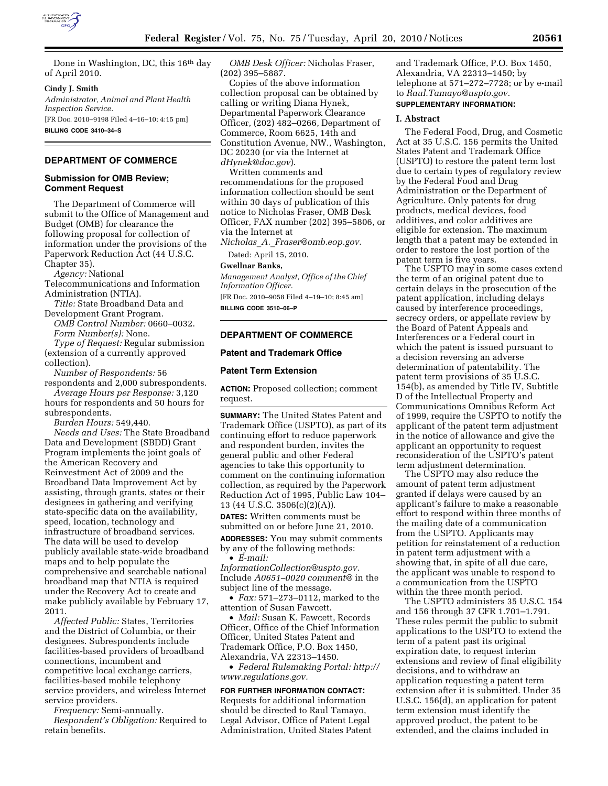

Done in Washington, DC, this 16th day of April 2010.

#### **Cindy J. Smith**

*Administrator, Animal and Plant Health Inspection Service.* 

[FR Doc. 2010–9198 Filed 4–16–10; 4:15 pm] **BILLING CODE 3410–34–S** 

## **DEPARTMENT OF COMMERCE**

## **Submission for OMB Review; Comment Request**

The Department of Commerce will submit to the Office of Management and Budget (OMB) for clearance the following proposal for collection of information under the provisions of the Paperwork Reduction Act (44 U.S.C. Chapter 35).

*Agency:* National

Telecommunications and Information Administration (NTIA).

- *Title:* State Broadband Data and Development Grant Program.
- *OMB Control Number:* 0660–0032. *Form Number(s):* None.

*Type of Request:* Regular submission (extension of a currently approved collection).

*Number of Respondents:* 56

respondents and 2,000 subrespondents. *Average Hours per Response:* 3,120 hours for respondents and 50 hours for subrespondents.

*Burden Hours:* 549,440.

*Needs and Uses:* The State Broadband Data and Development (SBDD) Grant Program implements the joint goals of the American Recovery and Reinvestment Act of 2009 and the Broadband Data Improvement Act by assisting, through grants, states or their designees in gathering and verifying state-specific data on the availability, speed, location, technology and infrastructure of broadband services. The data will be used to develop publicly available state-wide broadband maps and to help populate the comprehensive and searchable national broadband map that NTIA is required under the Recovery Act to create and make publicly available by February 17, 2011.

*Affected Public:* States, Territories and the District of Columbia, or their designees. Subrespondents include facilities-based providers of broadband connections, incumbent and competitive local exchange carriers, facilities-based mobile telephony service providers, and wireless Internet service providers.

*Frequency:* Semi-annually. *Respondent's Obligation:* Required to retain benefits.

*OMB Desk Officer:* Nicholas Fraser, (202) 395–5887.

Copies of the above information collection proposal can be obtained by calling or writing Diana Hynek, Departmental Paperwork Clearance Officer, (202) 482–0266, Department of Commerce, Room 6625, 14th and Constitution Avenue, NW., Washington, DC 20230 (or via the Internet at *dHynek@doc.gov*).

Written comments and recommendations for the proposed information collection should be sent within 30 days of publication of this notice to Nicholas Fraser, OMB Desk Officer, FAX number (202) 395–5806, or via the Internet at

*Nicholas*\_*A.*\_*Fraser@omb.eop.gov.* 

Dated: April 15, 2010.

## **Gwellnar Banks,**

*Management Analyst, Office of the Chief Information Officer.* 

[FR Doc. 2010–9058 Filed 4–19–10; 8:45 am] **BILLING CODE 3510–06–P** 

## **DEPARTMENT OF COMMERCE**

## **Patent and Trademark Office**

## **Patent Term Extension**

**ACTION:** Proposed collection; comment request.

**SUMMARY:** The United States Patent and Trademark Office (USPTO), as part of its continuing effort to reduce paperwork and respondent burden, invites the general public and other Federal agencies to take this opportunity to comment on the continuing information collection, as required by the Paperwork Reduction Act of 1995, Public Law 104– 13 (44 U.S.C. 3506(c)(2)(A)).

**DATES:** Written comments must be submitted on or before June 21, 2010. **ADDRESSES:** You may submit comments by any of the following methods:

• *E-mail: InformationCollection@uspto.gov.*  Include *A0651–0020 comment@* in the subject line of the message.

• *Fax:* 571–273–0112, marked to the attention of Susan Fawcett.

• *Mail:* Susan K. Fawcett, Records Officer, Office of the Chief Information Officer, United States Patent and Trademark Office, P.O. Box 1450, Alexandria, VA 22313–1450.

• *Federal Rulemaking Portal: http:// www.regulations.gov.* 

## **FOR FURTHER INFORMATION CONTACT:**

Requests for additional information should be directed to Raul Tamayo, Legal Advisor, Office of Patent Legal Administration, United States Patent

and Trademark Office, P.O. Box 1450, Alexandria, VA 22313–1450; by telephone at 571–272–7728; or by e-mail to *Raul.Tamayo@uspto.gov.* 

# **SUPPLEMENTARY INFORMATION:**

## **I. Abstract**

The Federal Food, Drug, and Cosmetic Act at 35 U.S.C. 156 permits the United States Patent and Trademark Office (USPTO) to restore the patent term lost due to certain types of regulatory review by the Federal Food and Drug Administration or the Department of Agriculture. Only patents for drug products, medical devices, food additives, and color additives are eligible for extension. The maximum length that a patent may be extended in order to restore the lost portion of the patent term is five years.

The USPTO may in some cases extend the term of an original patent due to certain delays in the prosecution of the patent application, including delays caused by interference proceedings, secrecy orders, or appellate review by the Board of Patent Appeals and Interferences or a Federal court in which the patent is issued pursuant to a decision reversing an adverse determination of patentability. The patent term provisions of 35 U.S.C. 154(b), as amended by Title IV, Subtitle D of the Intellectual Property and Communications Omnibus Reform Act of 1999, require the USPTO to notify the applicant of the patent term adjustment in the notice of allowance and give the applicant an opportunity to request reconsideration of the USPTO's patent term adjustment determination.

The USPTO may also reduce the amount of patent term adjustment granted if delays were caused by an applicant's failure to make a reasonable effort to respond within three months of the mailing date of a communication from the USPTO. Applicants may petition for reinstatement of a reduction in patent term adjustment with a showing that, in spite of all due care, the applicant was unable to respond to a communication from the USPTO within the three month period.

The USPTO administers 35 U.S.C. 154 and 156 through 37 CFR 1.701–1.791. These rules permit the public to submit applications to the USPTO to extend the term of a patent past its original expiration date, to request interim extensions and review of final eligibility decisions, and to withdraw an application requesting a patent term extension after it is submitted. Under 35 U.S.C. 156(d), an application for patent term extension must identify the approved product, the patent to be extended, and the claims included in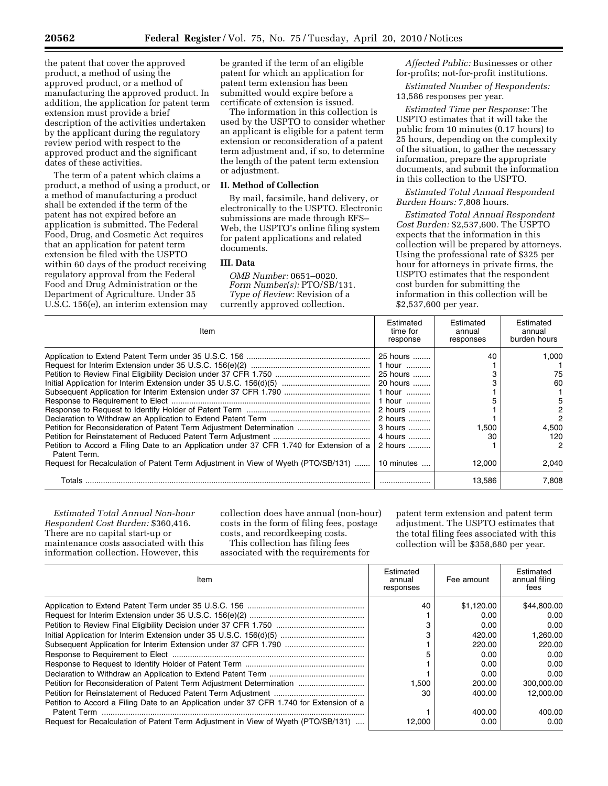the patent that cover the approved product, a method of using the approved product, or a method of manufacturing the approved product. In addition, the application for patent term extension must provide a brief description of the activities undertaken by the applicant during the regulatory review period with respect to the approved product and the significant dates of these activities.

The term of a patent which claims a product, a method of using a product, or a method of manufacturing a product shall be extended if the term of the patent has not expired before an application is submitted. The Federal Food, Drug, and Cosmetic Act requires that an application for patent term extension be filed with the USPTO within 60 days of the product receiving regulatory approval from the Federal Food and Drug Administration or the Department of Agriculture. Under 35 U.S.C. 156(e), an interim extension may

be granted if the term of an eligible patent for which an application for patent term extension has been submitted would expire before a certificate of extension is issued.

The information in this collection is used by the USPTO to consider whether an applicant is eligible for a patent term extension or reconsideration of a patent term adjustment and, if so, to determine the length of the patent term extension or adjustment.

## **II. Method of Collection**

By mail, facsimile, hand delivery, or electronically to the USPTO. Electronic submissions are made through EFS– Web, the USPTO's online filing system for patent applications and related documents.

# **III. Data**

*OMB Number:* 0651–0020. *Form Number(s):* PTO/SB/131. *Type of Review:* Revision of a currently approved collection.

*Affected Public:* Businesses or other for-profits; not-for-profit institutions.

*Estimated Number of Respondents:*  13,586 responses per year.

*Estimated Time per Response:* The USPTO estimates that it will take the public from 10 minutes (0.17 hours) to 25 hours, depending on the complexity of the situation, to gather the necessary information, prepare the appropriate documents, and submit the information in this collection to the USPTO.

# *Estimated Total Annual Respondent Burden Hours:* 7,808 hours.

*Estimated Total Annual Respondent Cost Burden:* \$2,537,600. The USPTO expects that the information in this collection will be prepared by attorneys. Using the professional rate of \$325 per hour for attorneys in private firms, the USPTO estimates that the respondent cost burden for submitting the information in this collection will be \$2,537,600 per year.

| Item                                                                                                     | Estimated<br>time for<br>response | Estimated<br>annual<br>responses | Estimated<br>annual<br>burden hours |
|----------------------------------------------------------------------------------------------------------|-----------------------------------|----------------------------------|-------------------------------------|
|                                                                                                          | 25 hours                          | 40                               | 1.000                               |
|                                                                                                          | 1 hour                            |                                  |                                     |
|                                                                                                          | 25 hours                          |                                  | 75                                  |
|                                                                                                          | 20 hours                          |                                  | 60                                  |
|                                                                                                          | 1 hour                            |                                  |                                     |
|                                                                                                          | 1 hour                            |                                  | 5                                   |
|                                                                                                          | 2 hours                           |                                  | 2                                   |
|                                                                                                          | 2 hours                           |                                  | 2                                   |
|                                                                                                          | 3 hours                           | 1,500                            | 4.500                               |
|                                                                                                          | 4 hours                           | 30                               | 120                                 |
| Petition to Accord a Filing Date to an Application under 37 CFR 1.740 for Extension of a<br>Patent Term. | 2 hours                           |                                  | 2                                   |
| Request for Recalculation of Patent Term Adjustment in View of Wyeth (PTO/SB/131)                        | 10 minutes                        | 12.000                           | 2.040                               |
| Totals                                                                                                   |                                   | 13.586                           | 7.808                               |

*Estimated Total Annual Non-hour Respondent Cost Burden:* \$360,416. There are no capital start-up or maintenance costs associated with this information collection. However, this

collection does have annual (non-hour) costs in the form of filing fees, postage costs, and recordkeeping costs. This collection has filing fees

associated with the requirements for

patent term extension and patent term adjustment. The USPTO estimates that the total filing fees associated with this collection will be \$358,680 per year.

| Item                                                                                     | Estimated<br>annual<br>responses | Fee amount | Estimated<br>annual filing<br>fees |
|------------------------------------------------------------------------------------------|----------------------------------|------------|------------------------------------|
|                                                                                          | 40                               | \$1.120.00 | \$44,800.00                        |
|                                                                                          |                                  | 0.00       | 0.00                               |
|                                                                                          |                                  | 0.00       | 0.00                               |
|                                                                                          |                                  | 420.00     | 1.260.00                           |
|                                                                                          |                                  | 220.00     | 220.00                             |
|                                                                                          |                                  | 0.00       | 0.00                               |
|                                                                                          |                                  | 0.00       | 0.00                               |
|                                                                                          |                                  | 0.00       | 0.00                               |
| Petition for Reconsideration of Patent Term Adjustment Determination                     | 1.500                            | 200.00     | 300.000.00                         |
|                                                                                          | 30                               | 400.00     | 12,000.00                          |
| Petition to Accord a Filing Date to an Application under 37 CFR 1.740 for Extension of a |                                  |            |                                    |
|                                                                                          |                                  | 400.00     | 400.00                             |
| Request for Recalculation of Patent Term Adjustment in View of Wyeth (PTO/SB/131)        | 12.000                           | 0.00       | 0.00                               |